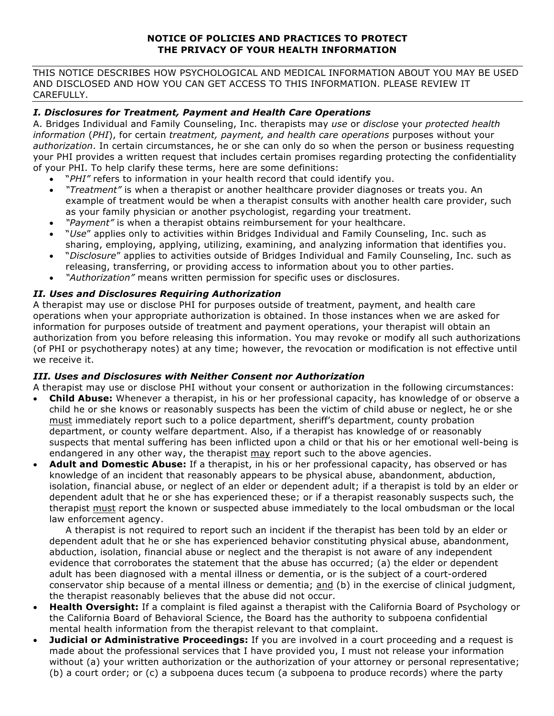### **NOTICE OF POLICIES AND PRACTICES TO PROTECT THE PRIVACY OF YOUR HEALTH INFORMATION**

THIS NOTICE DESCRIBES HOW PSYCHOLOGICAL AND MEDICAL INFORMATION ABOUT YOU MAY BE USED AND DISCLOSED AND HOW YOU CAN GET ACCESS TO THIS INFORMATION. PLEASE REVIEW IT CAREFULLY.

## *I. Disclosures for Treatment, Payment and Health Care Operations*

A. Bridges Individual and Family Counseling, Inc. therapists may *use* or *disclose* your *protected health information* (*PHI*), for certain *treatment, payment, and health care operations* purposes without your *authorization*. In certain circumstances, he or she can only do so when the person or business requesting your PHI provides a written request that includes certain promises regarding protecting the confidentiality of your PHI. To help clarify these terms, here are some definitions:

- "*PHI"* refers to information in your health record that could identify you.
- *"Treatment"* is when a therapist or another healthcare provider diagnoses or treats you. An example of treatment would be when a therapist consults with another health care provider, such as your family physician or another psychologist, regarding your treatment.
- *"Payment"* is when a therapist obtains reimbursement for your healthcare.
- "*Use*" applies only to activities within Bridges Individual and Family Counseling, Inc. such as sharing, employing, applying, utilizing, examining, and analyzing information that identifies you.
- "*Disclosure*" applies to activities outside of Bridges Individual and Family Counseling, Inc. such as releasing, transferring, or providing access to information about you to other parties.
- *"Authorization"* means written permission for specific uses or disclosures.

### *II. Uses and Disclosures Requiring Authorization*

A therapist may use or disclose PHI for purposes outside of treatment, payment, and health care operations when your appropriate authorization is obtained. In those instances when we are asked for information for purposes outside of treatment and payment operations, your therapist will obtain an authorization from you before releasing this information. You may revoke or modify all such authorizations (of PHI or psychotherapy notes) at any time; however, the revocation or modification is not effective until we receive it.

#### *III. Uses and Disclosures with Neither Consent nor Authorization*

A therapist may use or disclose PHI without your consent or authorization in the following circumstances:

- **Child Abuse:** Whenever a therapist, in his or her professional capacity, has knowledge of or observe a child he or she knows or reasonably suspects has been the victim of child abuse or neglect, he or she must immediately report such to a police department, sheriff's department, county probation department, or county welfare department. Also, if a therapist has knowledge of or reasonably suspects that mental suffering has been inflicted upon a child or that his or her emotional well-being is endangered in any other way, the therapist may report such to the above agencies.
- **Adult and Domestic Abuse:** If a therapist, in his or her professional capacity, has observed or has knowledge of an incident that reasonably appears to be physical abuse, abandonment, abduction, isolation, financial abuse, or neglect of an elder or dependent adult; if a therapist is told by an elder or dependent adult that he or she has experienced these; or if a therapist reasonably suspects such, the therapist must report the known or suspected abuse immediately to the local ombudsman or the local law enforcement agency.

A therapist is not required to report such an incident if the therapist has been told by an elder or dependent adult that he or she has experienced behavior constituting physical abuse, abandonment, abduction, isolation, financial abuse or neglect and the therapist is not aware of any independent evidence that corroborates the statement that the abuse has occurred; (a) the elder or dependent adult has been diagnosed with a mental illness or dementia, or is the subject of a court-ordered conservator ship because of a mental illness or dementia; and (b) in the exercise of clinical judgment, the therapist reasonably believes that the abuse did not occur.

- **Health Oversight:** If a complaint is filed against a therapist with the California Board of Psychology or the California Board of Behavioral Science, the Board has the authority to subpoena confidential mental health information from the therapist relevant to that complaint.
- **Judicial or Administrative Proceedings:** If you are involved in a court proceeding and a request is made about the professional services that I have provided you, I must not release your information without (a) your written authorization or the authorization of your attorney or personal representative; (b) a court order; or (c) a subpoena duces tecum (a subpoena to produce records) where the party